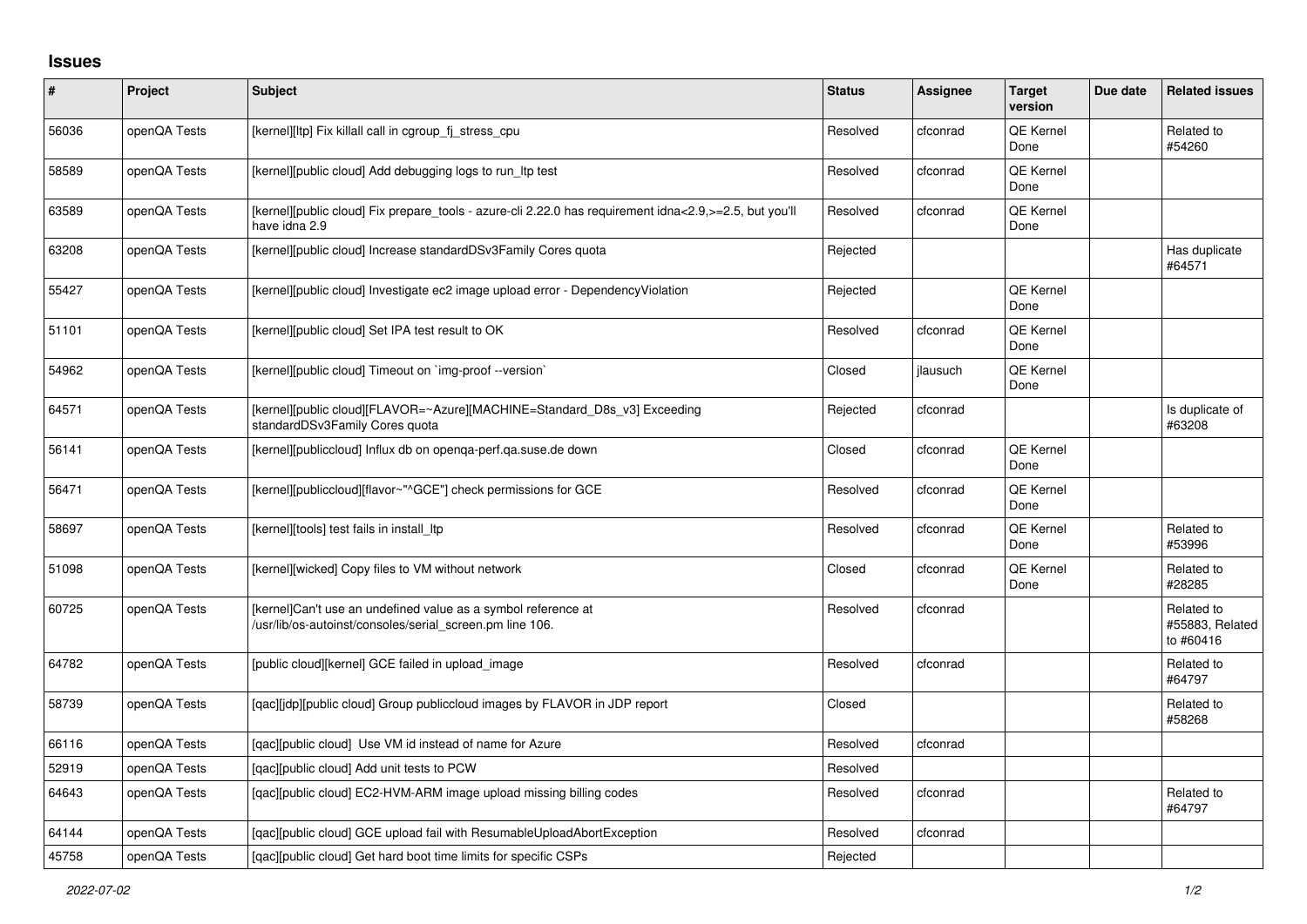## **Issues**

| #     | Project      | <b>Subject</b>                                                                                                            | <b>Status</b> | Assignee | <b>Target</b><br>version | Due date | <b>Related issues</b>                      |
|-------|--------------|---------------------------------------------------------------------------------------------------------------------------|---------------|----------|--------------------------|----------|--------------------------------------------|
| 56036 | openQA Tests | [kernel][ltp] Fix killall call in cgroup_fj_stress_cpu                                                                    | Resolved      | cfconrad | <b>QE Kernel</b><br>Done |          | Related to<br>#54260                       |
| 58589 | openQA Tests | [kernel][public cloud] Add debugging logs to run_ltp test                                                                 | Resolved      | cfconrad | <b>QE Kernel</b><br>Done |          |                                            |
| 63589 | openQA Tests | [kernel][public cloud] Fix prepare_tools - azure-cli 2.22.0 has requirement idna<2.9,>=2.5, but you'll<br>have idna 2.9   | Resolved      | cfconrad | <b>QE Kernel</b><br>Done |          |                                            |
| 63208 | openQA Tests | [kernel][public cloud] Increase standardDSv3Family Cores quota                                                            | Rejected      |          |                          |          | Has duplicate<br>#64571                    |
| 55427 | openQA Tests | [kernel][public cloud] Investigate ec2 image upload error - DependencyViolation                                           | Rejected      |          | <b>QE Kernel</b><br>Done |          |                                            |
| 51101 | openQA Tests | [kernel][public cloud] Set IPA test result to OK                                                                          | Resolved      | cfconrad | QE Kernel<br>Done        |          |                                            |
| 54962 | openQA Tests | [kernel][public cloud] Timeout on `img-proof --version`                                                                   | Closed        | jlausuch | <b>QE Kernel</b><br>Done |          |                                            |
| 64571 | openQA Tests | [kernel][public cloud][FLAVOR=~Azure][MACHINE=Standard_D8s_v3] Exceeding<br>standardDSv3Family Cores quota                | Rejected      | cfconrad |                          |          | Is duplicate of<br>#63208                  |
| 56141 | openQA Tests | [kernel][publiccloud] Influx db on openga-perf.ga.suse.de down                                                            | Closed        | cfconrad | <b>QE Kernel</b><br>Done |          |                                            |
| 56471 | openQA Tests | [kernel][publiccloud][flavor~"^GCE"] check permissions for GCE                                                            | Resolved      | cfconrad | QE Kernel<br>Done        |          |                                            |
| 58697 | openQA Tests | [kernel][tools] test fails in install_ltp                                                                                 | Resolved      | cfconrad | <b>QE Kernel</b><br>Done |          | Related to<br>#53996                       |
| 51098 | openQA Tests | [kernel][wicked] Copy files to VM without network                                                                         | Closed        | cfconrad | <b>QE Kernel</b><br>Done |          | Related to<br>#28285                       |
| 60725 | openQA Tests | [kernel]Can't use an undefined value as a symbol reference at<br>/usr/lib/os-autoinst/consoles/serial screen.pm line 106. | Resolved      | cfconrad |                          |          | Related to<br>#55883, Related<br>to #60416 |
| 64782 | openQA Tests | [public cloud][kernel] GCE failed in upload_image                                                                         | Resolved      | cfconrad |                          |          | Related to<br>#64797                       |
| 58739 | openQA Tests | [qac][jdp][public cloud] Group publiccloud images by FLAVOR in JDP report                                                 | Closed        |          |                          |          | Related to<br>#58268                       |
| 66116 | openQA Tests | [gac][public cloud] Use VM id instead of name for Azure                                                                   | Resolved      | cfconrad |                          |          |                                            |
| 52919 | openQA Tests | [gac][public cloud] Add unit tests to PCW                                                                                 | Resolved      |          |                          |          |                                            |
| 64643 | openQA Tests | [qac][public cloud] EC2-HVM-ARM image upload missing billing codes                                                        | Resolved      | cfconrad |                          |          | Related to<br>#64797                       |
| 64144 | openQA Tests | [qac][public cloud] GCE upload fail with ResumableUploadAbortException                                                    | Resolved      | cfconrad |                          |          |                                            |
| 45758 | openQA Tests | [qac][public cloud] Get hard boot time limits for specific CSPs                                                           | Rejected      |          |                          |          |                                            |